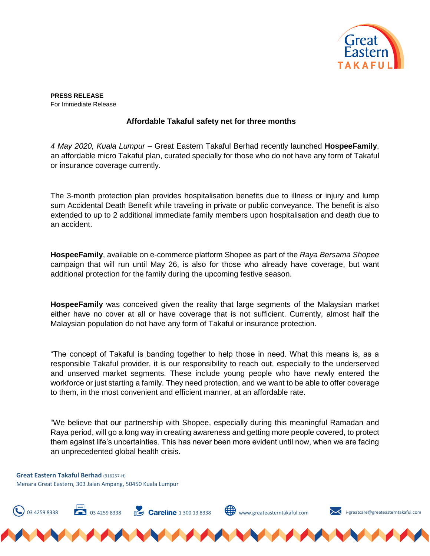

**PRESS RELEASE**  For Immediate Release

## **Affordable Takaful safety net for three months**

*4 May 2020, Kuala Lumpur* – Great Eastern Takaful Berhad recently launched **HospeeFamily**, an affordable micro Takaful plan, curated specially for those who do not have any form of Takaful or insurance coverage currently.

The 3-month protection plan provides hospitalisation benefits due to illness or injury and lump sum Accidental Death Benefit while traveling in private or public conveyance. The benefit is also extended to up to 2 additional immediate family members upon hospitalisation and death due to an accident.

**HospeeFamily**, available on e-commerce platform Shopee as part of the *Raya Bersama Shopee* campaign that will run until May 26, is also for those who already have coverage, but want additional protection for the family during the upcoming festive season.

**HospeeFamily** was conceived given the reality that large segments of the Malaysian market either have no cover at all or have coverage that is not sufficient. Currently, almost half the Malaysian population do not have any form of Takaful or insurance protection.

"The concept of Takaful is banding together to help those in need. What this means is, as a responsible Takaful provider, it is our responsibility to reach out, especially to the underserved and unserved market segments. These include young people who have newly entered the workforce or just starting a family. They need protection, and we want to be able to offer coverage to them, in the most convenient and efficient manner, at an affordable rate.

"We believe that our partnership with Shopee, especially during this meaningful Ramadan and Raya period, will go a long way in creating awareness and getting more people covered, to protect them against life's uncertainties. This has never been more evident until now, when we are facing an unprecedented global health crisis.

03 4259 8338  $\Box$  03 4259 8338  $\Box$  **Careline** 1 300 13 8338 Www.greateasterntakaful.com **i-greatcare@greateasterntakaful.com** 

**Great Eastern Takaful Berhad** (916257-H) Menara Great Eastern, 303 Jalan Ampang, 50450 Kuala Lumpur